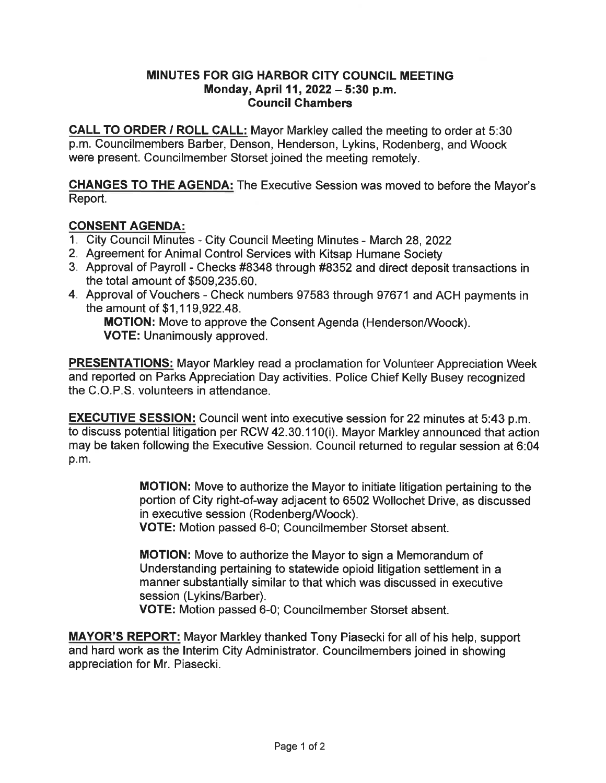## MINUTES FOR GIG HARBOR CITY COUNCIL MEETING Monday, April 11, 2022 - 5:30 p.m. Council Chambers

CALL TO ORDER / ROLL CALL: Mayor Markley called the meeting to order at 5:30 p. m. Councilmembers Barber, Denson, Henderson, Lykins, Rodenberg, and Woock were present. Councilmember Storset joined the meeting remotely.

CHANGES TO THE AGENDA: The Executive Session was moved to before the Mayor's Report.

# CONSENT AGENDA:

- 1. City Council Minutes City Council Meeting Minutes March 28, 2022
- 2. Agreement for Animal Control Services with Kitsap Humane Society
- 3. Approval of Payroll Checks #8348 through #8352 and direct deposit transactions in the total amount of \$509, 235. 60.
- 4. Approval of Vouchers Check numbers 97583 through 97671 and ACH payments in the amount of \$1, 119,922.48.

MOTION: Move to approve the Consent Agenda (Henderson/Woock). VOTE: Unanimously approved.

PRESENTATIONS: Mayor Markley read a proclamation for Volunteer Appreciation Week and reported on Parks Appreciation Day activities. Police Chief Kelly Busey recognized the C.O.P.S. volunteers in attendance.

**EXECUTIVE SESSION:** Council went into executive session for 22 minutes at 5:43 p.m. to discuss potential litigation per RCW 42. 30. 110(i). Mayor Markley announced that action may be taken following the Executive Session. Council returned to regular session at 6:04 p. m.

> MOTION: Move to authorize the Mayor to initiate litigation pertaining to the portion of City right-of-way adjacent to 6502 Wollochet Drive, as discussed in executive session (Rodenberg/Woock).

VOTE: Motion passed 6-0; Councilmember Storset absent.

MOTION: Move to authorize the Mayor to sign a Memorandum of Understanding pertaining to statewide opioid litigation settlement in a manner substantially similar to that which was discussed in executive session (Lykins/Barber).

VOTE: Motion passed 6-0; Councilmember Storset absent.

MAYOR'S REPORT: Mayor Markley thanked Tony Piasecki for all of his help, support and hard work as the Interim City Administrator. Councilmembers joined in showing appreciation for Mr. Piasecki.